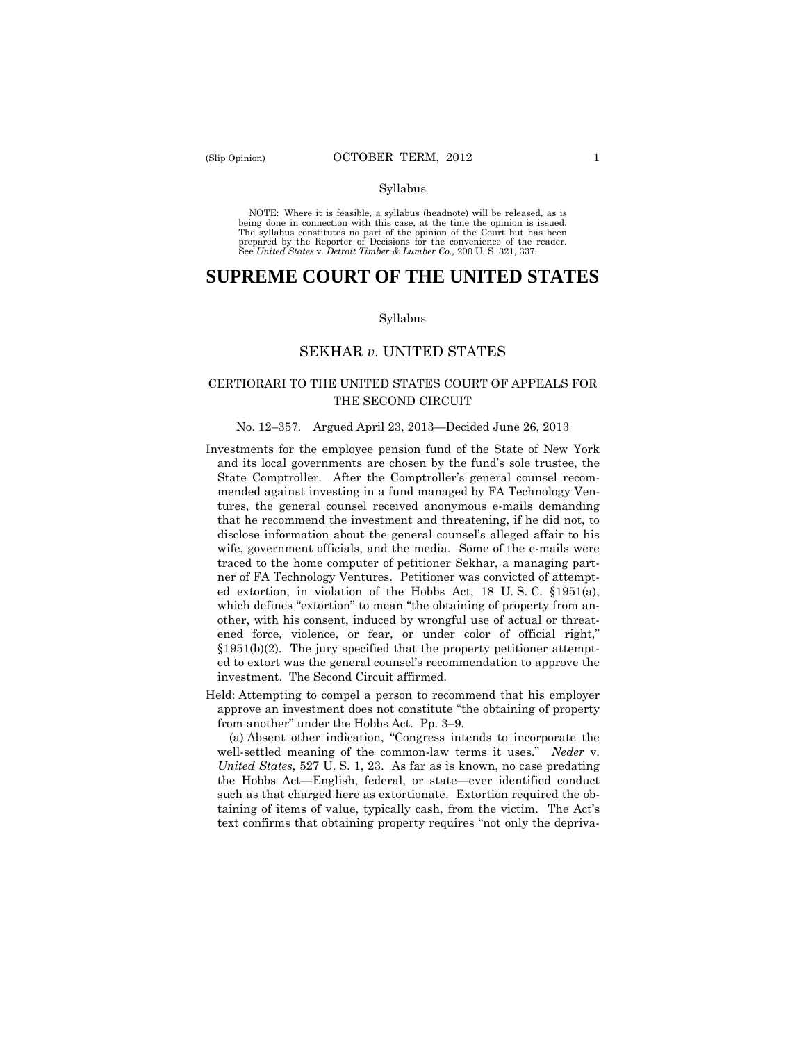#### Syllabus

 NOTE: Where it is feasible, a syllabus (headnote) will be released, as is being done in connection with this case, at the time the opinion is issued. The syllabus constitutes no part of the opinion of the Court but has been<br>prepared by the Reporter of Decisions for the convenience of the reader.<br>See United States v. Detroit Timber & Lumber Co., 200 U.S. 321, 337.

# **SUPREME COURT OF THE UNITED STATES**

#### Syllabus

# SEKHAR *v*. UNITED STATES

# CERTIORARI TO THE UNITED STATES COURT OF APPEALS FOR THE SECOND CIRCUIT

#### No. 12–357. Argued April 23, 2013—Decided June 26, 2013

- investment. The Second Circuit affirmed. Investments for the employee pension fund of the State of New York and its local governments are chosen by the fund's sole trustee, the State Comptroller. After the Comptroller's general counsel recommended against investing in a fund managed by FA Technology Ventures, the general counsel received anonymous e-mails demanding that he recommend the investment and threatening, if he did not, to disclose information about the general counsel's alleged affair to his wife, government officials, and the media. Some of the e-mails were traced to the home computer of petitioner Sekhar, a managing partner of FA Technology Ventures. Petitioner was convicted of attempted extortion, in violation of the Hobbs Act, 18 U. S. C. §1951(a), which defines "extortion" to mean "the obtaining of property from another, with his consent, induced by wrongful use of actual or threatened force, violence, or fear, or under color of official right," §1951(b)(2). The jury specified that the property petitioner attempted to extort was the general counsel's recommendation to approve the
- Held: Attempting to compel a person to recommend that his employer approve an investment does not constitute "the obtaining of property from another" under the Hobbs Act. Pp. 3–9.

(a) Absent other indication, "Congress intends to incorporate the well-settled meaning of the common-law terms it uses." *Neder* v. *United States*, 527 U. S. 1, 23. As far as is known, no case predating the Hobbs Act—English, federal, or state—ever identified conduct such as that charged here as extortionate. Extortion required the obtaining of items of value, typically cash, from the victim. The Act's text confirms that obtaining property requires "not only the depriva-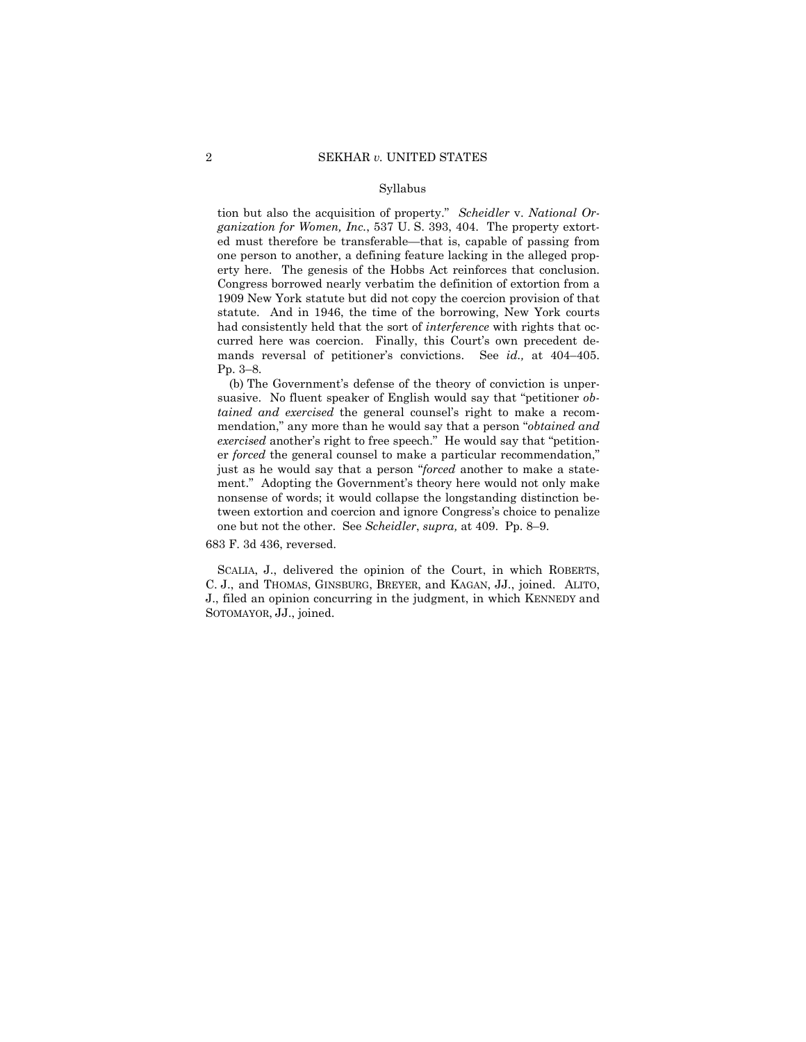#### Syllabus

 erty here. The genesis of the Hobbs Act reinforces that conclusion. curred here was coercion. Finally, this Court's own precedent detion but also the acquisition of property." *Scheidler* v. *National Organization for Women, Inc.*, 537 U. S. 393, 404. The property extorted must therefore be transferable—that is, capable of passing from one person to another, a defining feature lacking in the alleged prop-Congress borrowed nearly verbatim the definition of extortion from a 1909 New York statute but did not copy the coercion provision of that statute. And in 1946, the time of the borrowing, New York courts had consistently held that the sort of *interference* with rights that ocmands reversal of petitioner's convictions. See *id.,* at 404–405. Pp. 3–8.

(b) The Government's defense of the theory of conviction is unpersuasive. No fluent speaker of English would say that "petitioner *obtained and exercised* the general counsel's right to make a recommendation," any more than he would say that a person "*obtained and exercised* another's right to free speech." He would say that "petitioner *forced* the general counsel to make a particular recommendation," just as he would say that a person "*forced* another to make a statement." Adopting the Government's theory here would not only make nonsense of words; it would collapse the longstanding distinction between extortion and coercion and ignore Congress's choice to penalize one but not the other. See *Scheidler*, *supra,* at 409. Pp. 8–9.

683 F. 3d 436, reversed.

 C. J., and THOMAS, GINSBURG, BREYER, and KAGAN, JJ., joined. ALITO, SCALIA, J., delivered the opinion of the Court, in which ROBERTS, J., filed an opinion concurring in the judgment, in which KENNEDY and SOTOMAYOR, JJ., joined.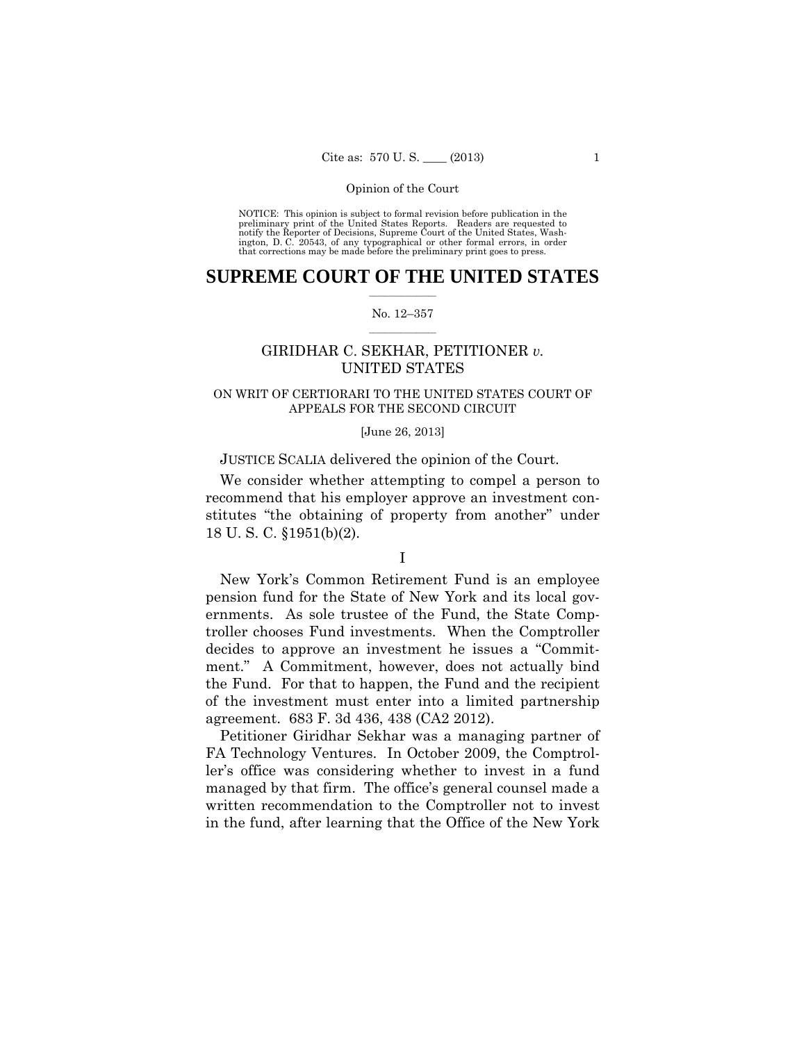preliminary print of the United States Reports. Readers are requested to notify the Reporter of Decisions, Supreme Court of the United States, Wash- ington, D. C. 20543, of any typographical or other formal errors, in order that corrections may be made before the preliminary print goes to press. NOTICE: This opinion is subject to formal revision before publication in the

### $\frac{1}{2}$  ,  $\frac{1}{2}$  ,  $\frac{1}{2}$  ,  $\frac{1}{2}$  ,  $\frac{1}{2}$  ,  $\frac{1}{2}$  ,  $\frac{1}{2}$ **SUPREME COURT OF THE UNITED STATES**

#### $\frac{1}{2}$  ,  $\frac{1}{2}$  ,  $\frac{1}{2}$  ,  $\frac{1}{2}$  ,  $\frac{1}{2}$  ,  $\frac{1}{2}$ No. 12–357

# GIRIDHAR C. SEKHAR, PETITIONER *v.* UNITED STATES

## ON WRIT OF CERTIORARI TO THE UNITED STATES COURT OF APPEALS FOR THE SECOND CIRCUIT

#### [June 26, 2013]

### JUSTICE SCALIA delivered the opinion of the Court.

We consider whether attempting to compel a person to recommend that his employer approve an investment constitutes "the obtaining of property from another" under 18 U. S. C. §1951(b)(2).

# I

New York's Common Retirement Fund is an employee pension fund for the State of New York and its local governments. As sole trustee of the Fund, the State Comptroller chooses Fund investments. When the Comptroller decides to approve an investment he issues a "Commitment." A Commitment, however, does not actually bind the Fund. For that to happen, the Fund and the recipient of the investment must enter into a limited partnership agreement. 683 F. 3d 436, 438 (CA2 2012).

Petitioner Giridhar Sekhar was a managing partner of FA Technology Ventures. In October 2009, the Comptroller's office was considering whether to invest in a fund managed by that firm. The office's general counsel made a written recommendation to the Comptroller not to invest in the fund, after learning that the Office of the New York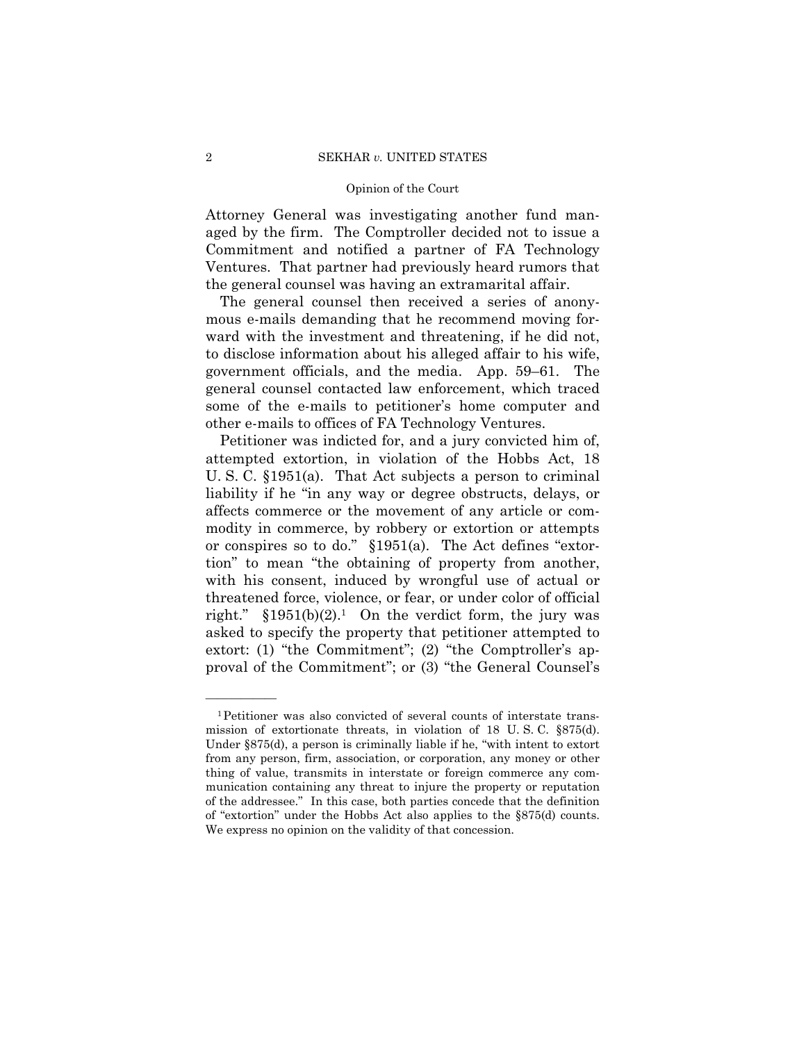Attorney General was investigating another fund managed by the firm. The Comptroller decided not to issue a Commitment and notified a partner of FA Technology Ventures. That partner had previously heard rumors that the general counsel was having an extramarital affair.

The general counsel then received a series of anonymous e-mails demanding that he recommend moving forward with the investment and threatening, if he did not, to disclose information about his alleged affair to his wife, government officials, and the media. App. 59–61. The general counsel contacted law enforcement, which traced some of the e-mails to petitioner's home computer and other e-mails to offices of FA Technology Ventures.

Petitioner was indicted for, and a jury convicted him of, attempted extortion, in violation of the Hobbs Act, 18 U. S. C. §1951(a). That Act subjects a person to criminal liability if he "in any way or degree obstructs, delays, or affects commerce or the movement of any article or commodity in commerce, by robbery or extortion or attempts or conspires so to do." §1951(a). The Act defines "extortion" to mean "the obtaining of property from another, with his consent, induced by wrongful use of actual or threatened force, violence, or fear, or under color of official right."  $$1951(b)(2).1$  On the verdict form, the jury was asked to specify the property that petitioner attempted to extort: (1) "the Commitment"; (2) "the Comptroller's approval of the Commitment"; or (3) "the General Counsel's

 mission of extortionate threats, in violation of 18 U. S. C. §875(d). 1Petitioner was also convicted of several counts of interstate trans-Under §875(d), a person is criminally liable if he, "with intent to extort from any person, firm, association, or corporation, any money or other thing of value, transmits in interstate or foreign commerce any communication containing any threat to injure the property or reputation of the addressee." In this case, both parties concede that the definition of "extortion" under the Hobbs Act also applies to the §875(d) counts. We express no opinion on the validity of that concession.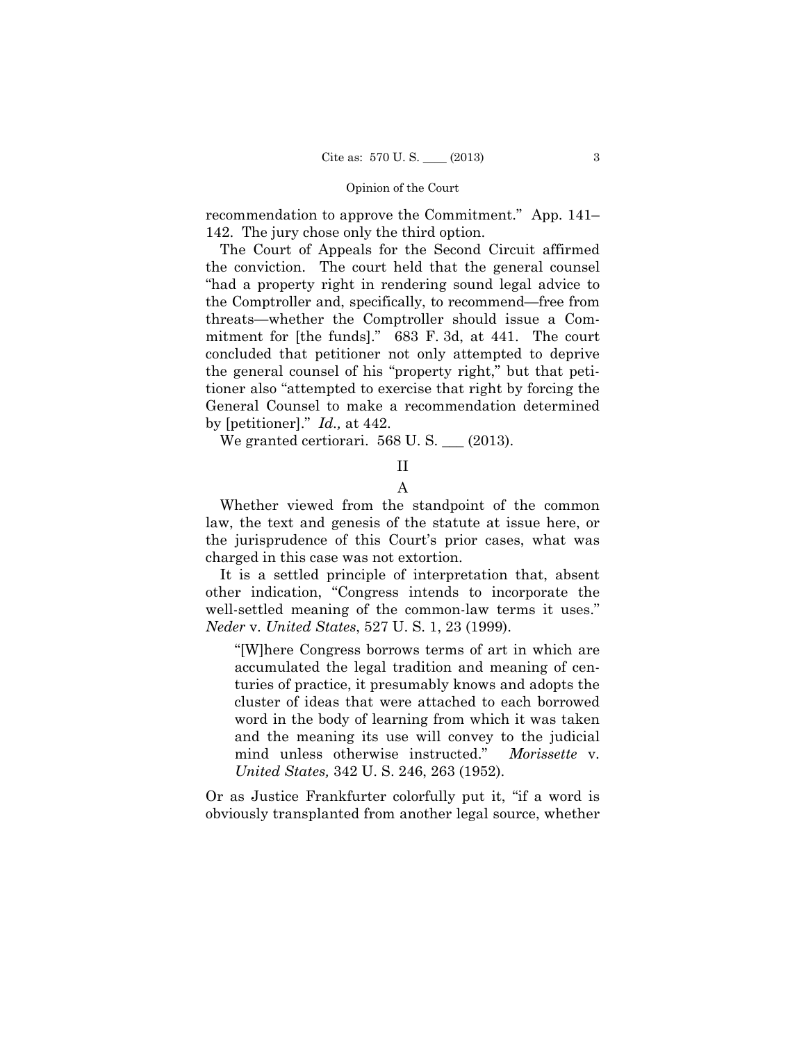recommendation to approve the Commitment." App. 141– 142. The jury chose only the third option.

The Court of Appeals for the Second Circuit affirmed the conviction. The court held that the general counsel "had a property right in rendering sound legal advice to the Comptroller and, specifically, to recommend—free from threats—whether the Comptroller should issue a Commitment for [the funds]." 683 F. 3d, at 441. The court concluded that petitioner not only attempted to deprive the general counsel of his "property right," but that petitioner also "attempted to exercise that right by forcing the General Counsel to make a recommendation determined by [petitioner]." *Id.,* at 442.

We granted certiorari.  $568$  U.S.  $\_\_$  (2013).

II

A

Whether viewed from the standpoint of the common law, the text and genesis of the statute at issue here, or the jurisprudence of this Court's prior cases, what was charged in this case was not extortion.

It is a settled principle of interpretation that, absent other indication, "Congress intends to incorporate the well-settled meaning of the common-law terms it uses." *Neder* v. *United States*, 527 U. S. 1, 23 (1999).

"[W]here Congress borrows terms of art in which are accumulated the legal tradition and meaning of centuries of practice, it presumably knows and adopts the cluster of ideas that were attached to each borrowed word in the body of learning from which it was taken and the meaning its use will convey to the judicial mind unless otherwise instructed." *Morissette* v. *United States,* 342 U. S. 246, 263 (1952).

Or as Justice Frankfurter colorfully put it, "if a word is obviously transplanted from another legal source, whether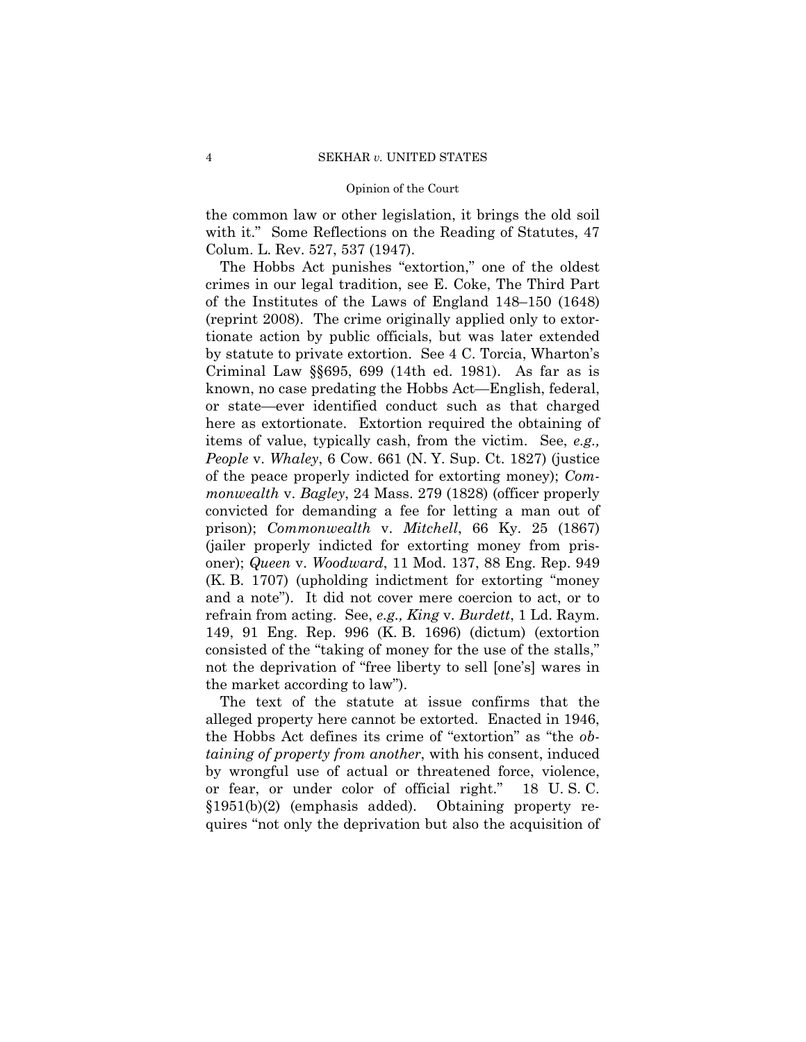the common law or other legislation, it brings the old soil with it." Some Reflections on the Reading of Statutes, 47 Colum. L. Rev. 527, 537 (1947).

The Hobbs Act punishes "extortion," one of the oldest crimes in our legal tradition, see E. Coke, The Third Part of the Institutes of the Laws of England 148–150 (1648) (reprint 2008). The crime originally applied only to extortionate action by public officials, but was later extended by statute to private extortion. See 4 C. Torcia, Wharton's Criminal Law §§695, 699 (14th ed. 1981). As far as is known, no case predating the Hobbs Act—English, federal, or state—ever identified conduct such as that charged here as extortionate. Extortion required the obtaining of items of value, typically cash, from the victim. See, *e.g., People* v. *Whaley*, 6 Cow. 661 (N. Y. Sup. Ct. 1827) (justice of the peace properly indicted for extorting money); *Commonwealth* v. *Bagley*, 24 Mass. 279 (1828) (officer properly convicted for demanding a fee for letting a man out of prison); *Commonwealth* v. *Mitchell*, 66 Ky. 25 (1867) (jailer properly indicted for extorting money from prisoner); *Queen* v. *Woodward*, 11 Mod. 137, 88 Eng. Rep. 949 (K. B. 1707) (upholding indictment for extorting "money and a note"). It did not cover mere coercion to act, or to refrain from acting. See, *e.g., King* v. *Burdett*, 1 Ld. Raym. 149, 91 Eng. Rep. 996 (K. B. 1696) (dictum) (extortion consisted of the "taking of money for the use of the stalls," not the deprivation of "free liberty to sell [one's] wares in the market according to law").

The text of the statute at issue confirms that the alleged property here cannot be extorted. Enacted in 1946, the Hobbs Act defines its crime of "extortion" as "the *obtaining of property from another*, with his consent, induced by wrongful use of actual or threatened force, violence, or fear, or under color of official right." 18 U. S. C. §1951(b)(2) (emphasis added). Obtaining property requires "not only the deprivation but also the acquisition of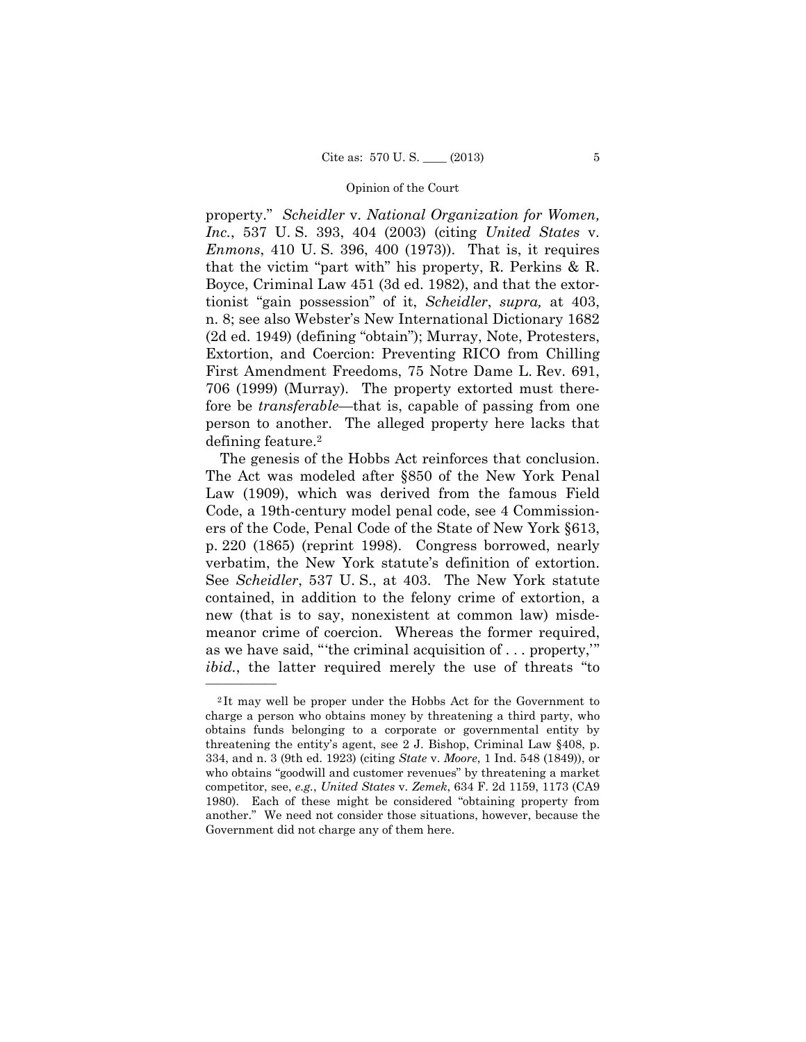property." *Scheidler* v. *National Organization for Women, Inc.*, 537 U. S. 393, 404 (2003) (citing *United States* v. *Enmons*, 410 U. S. 396, 400 (1973)). That is, it requires that the victim "part with" his property, R. Perkins & R. Boyce, Criminal Law 451 (3d ed. 1982), and that the extortionist "gain possession" of it, *Scheidler*, *supra,* at 403, n. 8; see also Webster's New International Dictionary 1682 (2d ed. 1949) (defining "obtain"); Murray, Note, Protesters, Extortion, and Coercion: Preventing RICO from Chilling First Amendment Freedoms, 75 Notre Dame L. Rev. 691, 706 (1999) (Murray). The property extorted must therefore be *transferable*—that is, capable of passing from one person to another. The alleged property here lacks that defining feature.2

The genesis of the Hobbs Act reinforces that conclusion. The Act was modeled after §850 of the New York Penal Law (1909), which was derived from the famous Field Code, a 19th-century model penal code, see 4 Commissioners of the Code, Penal Code of the State of New York §613, p. 220 (1865) (reprint 1998). Congress borrowed, nearly verbatim, the New York statute's definition of extortion. See *Scheidler*, 537 U. S., at 403. The New York statute contained, in addition to the felony crime of extortion, a new (that is to say, nonexistent at common law) misdemeanor crime of coercion. Whereas the former required, as we have said, "'the criminal acquisition of . . . property,'" *ibid.*, the latter required merely the use of threats "to

<sup>2</sup> It may well be proper under the Hobbs Act for the Government to charge a person who obtains money by threatening a third party, who obtains funds belonging to a corporate or governmental entity by threatening the entity's agent, see 2 J. Bishop, Criminal Law §408, p. 334, and n. 3 (9th ed. 1923) (citing *State* v. *Moore*, 1 Ind. 548 (1849)), or who obtains "goodwill and customer revenues" by threatening a market competitor, see, *e.g.*, *United States* v. *Zemek*, 634 F. 2d 1159, 1173 (CA9 1980). Each of these might be considered "obtaining property from another." We need not consider those situations, however, because the Government did not charge any of them here.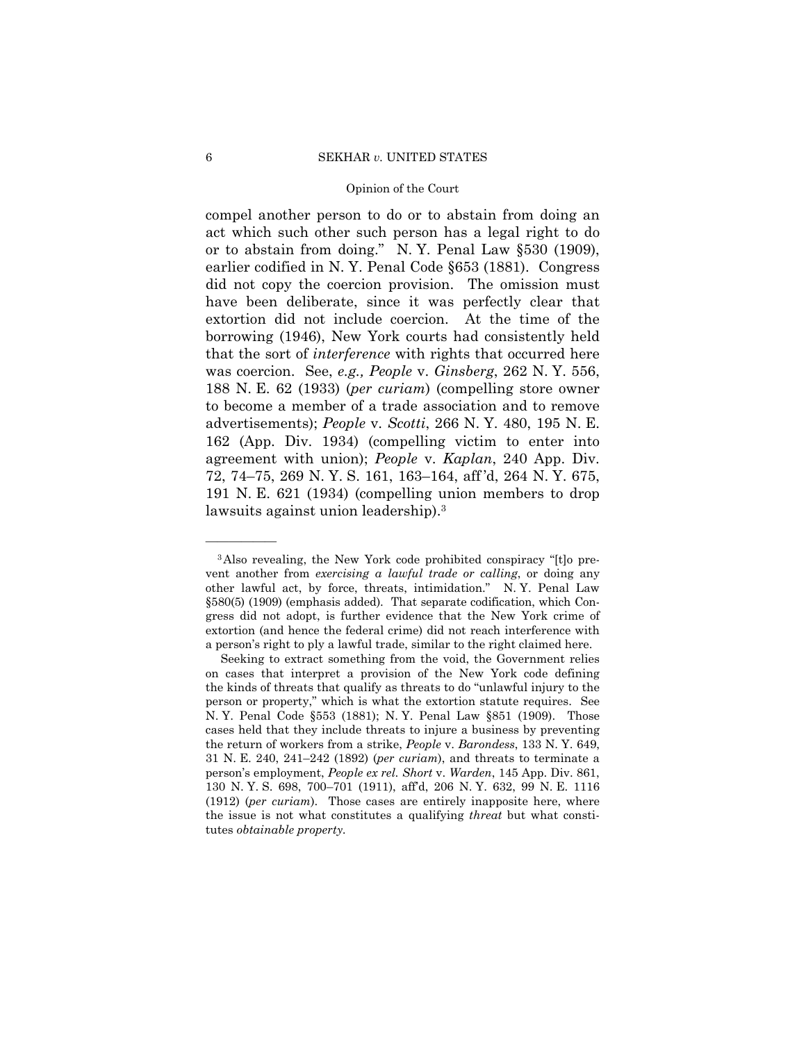compel another person to do or to abstain from doing an act which such other such person has a legal right to do or to abstain from doing." N. Y. Penal Law §530 (1909), earlier codified in N. Y. Penal Code §653 (1881). Congress did not copy the coercion provision. The omission must have been deliberate, since it was perfectly clear that extortion did not include coercion. At the time of the borrowing (1946), New York courts had consistently held that the sort of *interference* with rights that occurred here was coercion. See, *e.g., People* v. *Ginsberg*, 262 N. Y. 556, 188 N. E. 62 (1933) (*per curiam*) (compelling store owner to become a member of a trade association and to remove advertisements); *People* v. *Scotti*, 266 N. Y. 480, 195 N. E. 162 (App. Div. 1934) (compelling victim to enter into agreement with union); *People* v. *Kaplan*, 240 App. Div. 72, 74–75, 269 N. Y. S. 161, 163–164, aff 'd, 264 N. Y. 675, 191 N. E. 621 (1934) (compelling union members to drop lawsuits against union leadership).<sup>3</sup>

<sup>&</sup>lt;sup>3</sup>Also revealing, the New York code prohibited conspiracy "[t]o prevent another from *exercising a lawful trade or calling*, or doing any other lawful act, by force, threats, intimidation." N. Y. Penal Law §580(5) (1909) (emphasis added). That separate codification, which Congress did not adopt, is further evidence that the New York crime of extortion (and hence the federal crime) did not reach interference with a person's right to ply a lawful trade, similar to the right claimed here.

 tutes *obtainable property.* Seeking to extract something from the void, the Government relies on cases that interpret a provision of the New York code defining the kinds of threats that qualify as threats to do "unlawful injury to the person or property," which is what the extortion statute requires. See N. Y. Penal Code §553 (1881); N. Y. Penal Law §851 (1909). Those cases held that they include threats to injure a business by preventing the return of workers from a strike, *People* v. *Barondess*, 133 N. Y. 649, 31 N. E. 240, 241–242 (1892) (*per curiam*), and threats to terminate a person's employment, *People ex rel. Short* v. *Warden*, 145 App. Div. 861, 130 N. Y. S. 698, 700–701 (1911), aff'd, 206 N. Y. 632, 99 N. E. 1116 (1912) (*per curiam*). Those cases are entirely inapposite here, where the issue is not what constitutes a qualifying *threat* but what consti-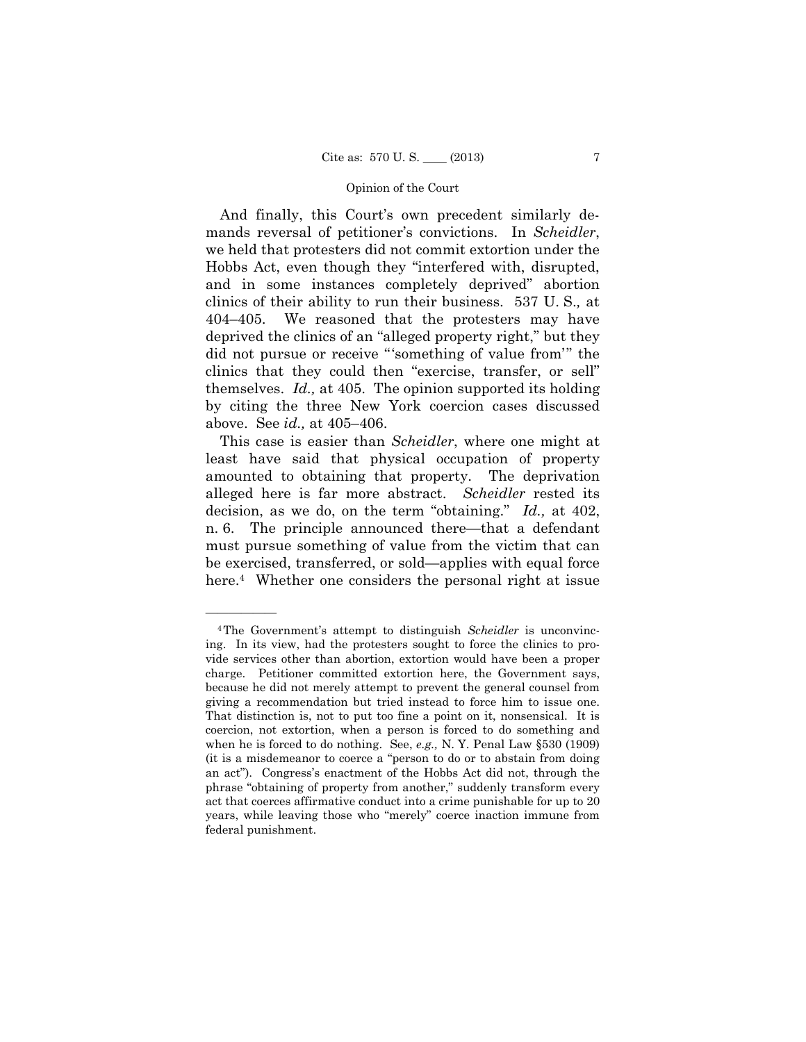themselves. *Id.,* at 405. The opinion supported its holding And finally, this Court's own precedent similarly demands reversal of petitioner's convictions. In *Scheidler*, we held that protesters did not commit extortion under the Hobbs Act, even though they "interfered with, disrupted, and in some instances completely deprived" abortion clinics of their ability to run their business. 537 U. S.*,* at 404–405. We reasoned that the protesters may have deprived the clinics of an "alleged property right," but they did not pursue or receive "'something of value from'" the clinics that they could then "exercise, transfer, or sell" by citing the three New York coercion cases discussed above. See *id.,* at 405–406.

This case is easier than *Scheidler*, where one might at least have said that physical occupation of property amounted to obtaining that property. The deprivation alleged here is far more abstract. *Scheidler* rested its decision, as we do, on the term "obtaining." *Id.,* at 402, n. 6. The principle announced there—that a defendant must pursue something of value from the victim that can be exercised, transferred, or sold—applies with equal force here.<sup>4</sup> Whether one considers the personal right at issue

 when he is forced to do nothing. See, *e.g.,* N. Y. Penal Law §530 (1909) 4The Government's attempt to distinguish *Scheidler* is unconvincing. In its view, had the protesters sought to force the clinics to provide services other than abortion, extortion would have been a proper charge. Petitioner committed extortion here, the Government says, because he did not merely attempt to prevent the general counsel from giving a recommendation but tried instead to force him to issue one. That distinction is, not to put too fine a point on it, nonsensical. It is coercion, not extortion, when a person is forced to do something and (it is a misdemeanor to coerce a "person to do or to abstain from doing an act"). Congress's enactment of the Hobbs Act did not, through the phrase "obtaining of property from another," suddenly transform every act that coerces affirmative conduct into a crime punishable for up to 20 years, while leaving those who "merely" coerce inaction immune from federal punishment.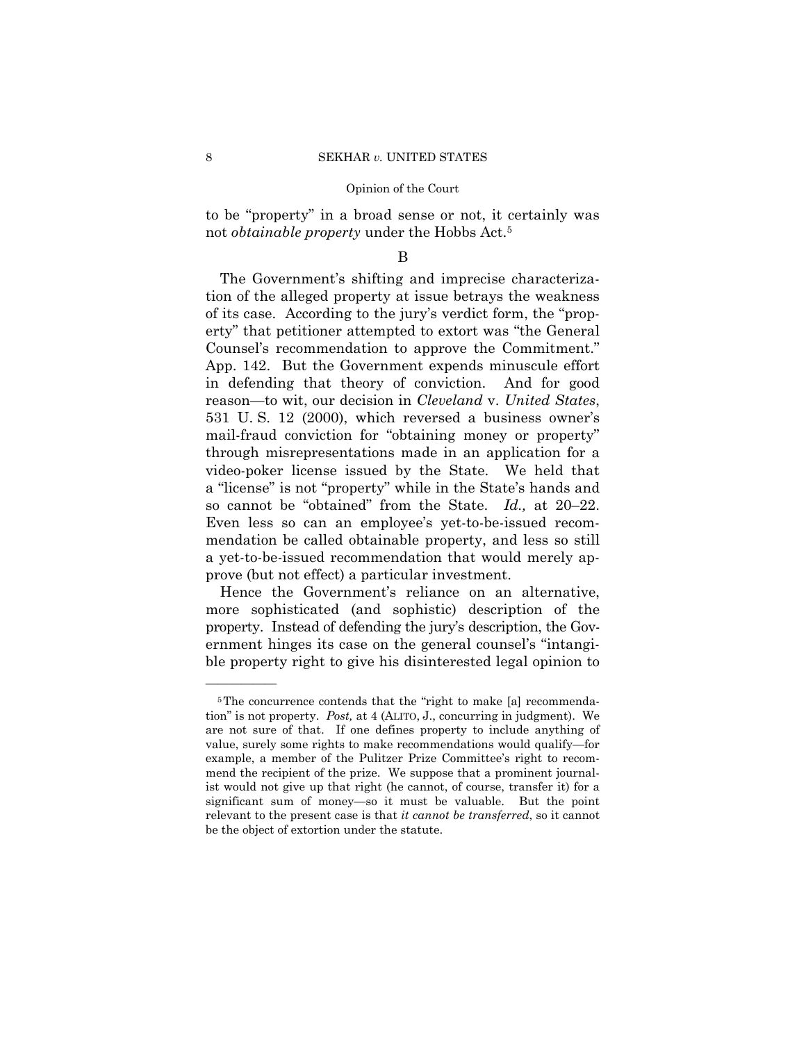to be "property" in a broad sense or not, it certainly was not *obtainable property* under the Hobbs Act.5

### B

The Government's shifting and imprecise characterization of the alleged property at issue betrays the weakness of its case. According to the jury's verdict form, the "property" that petitioner attempted to extort was "the General Counsel's recommendation to approve the Commitment." App. 142. But the Government expends minuscule effort in defending that theory of conviction. And for good reason—to wit, our decision in *Cleveland* v. *United States*, 531 U. S. 12 (2000), which reversed a business owner's mail-fraud conviction for "obtaining money or property" through misrepresentations made in an application for a video-poker license issued by the State. We held that a "license" is not "property" while in the State's hands and so cannot be "obtained" from the State. *Id.,* at 20–22. Even less so can an employee's yet-to-be-issued recommendation be called obtainable property, and less so still a yet-to-be-issued recommendation that would merely approve (but not effect) a particular investment.

Hence the Government's reliance on an alternative, more sophisticated (and sophistic) description of the property. Instead of defending the jury's description, the Government hinges its case on the general counsel's "intangible property right to give his disinterested legal opinion to

<sup>&</sup>lt;sup>5</sup>The concurrence contends that the "right to make [a] recommendation" is not property. *Post,* at 4 (ALITO, J., concurring in judgment). We are not sure of that. If one defines property to include anything of value, surely some rights to make recommendations would qualify—for example, a member of the Pulitzer Prize Committee's right to recommend the recipient of the prize. We suppose that a prominent journalist would not give up that right (he cannot, of course, transfer it) for a significant sum of money—so it must be valuable. But the point relevant to the present case is that *it cannot be transferred*, so it cannot be the object of extortion under the statute.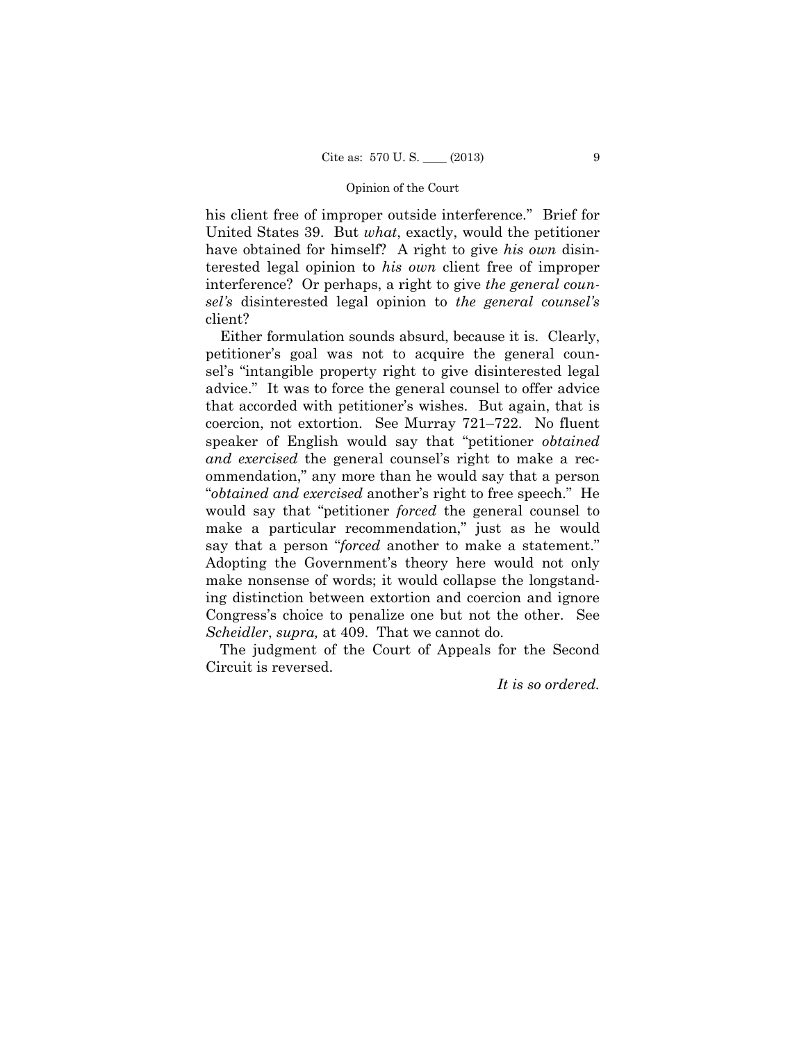his client free of improper outside interference." Brief for United States 39. But *what*, exactly, would the petitioner have obtained for himself? A right to give *his own* disinterested legal opinion to *his own* client free of improper interference? Or perhaps, a right to give *the general counsel's* disinterested legal opinion to *the general counsel's*  client?

Either formulation sounds absurd, because it is. Clearly, petitioner's goal was not to acquire the general counsel's "intangible property right to give disinterested legal advice." It was to force the general counsel to offer advice that accorded with petitioner's wishes. But again, that is coercion, not extortion. See Murray 721–722. No fluent speaker of English would say that "petitioner *obtained and exercised* the general counsel's right to make a recommendation," any more than he would say that a person "*obtained and exercised* another's right to free speech." He would say that "petitioner *forced* the general counsel to make a particular recommendation," just as he would say that a person "*forced* another to make a statement." Adopting the Government's theory here would not only make nonsense of words; it would collapse the longstanding distinction between extortion and coercion and ignore Congress's choice to penalize one but not the other. See *Scheidler*, *supra,* at 409. That we cannot do.

The judgment of the Court of Appeals for the Second Circuit is reversed.

*It is so ordered.*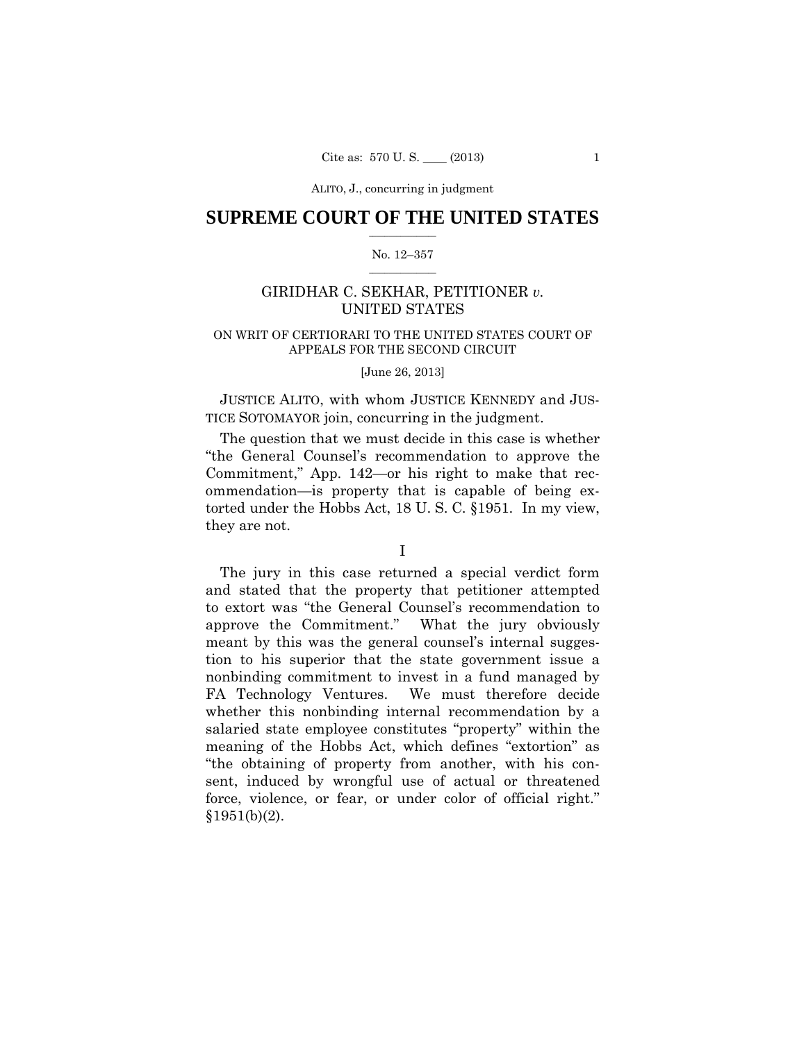# $\frac{1}{2}$  ,  $\frac{1}{2}$  ,  $\frac{1}{2}$  ,  $\frac{1}{2}$  ,  $\frac{1}{2}$  ,  $\frac{1}{2}$  ,  $\frac{1}{2}$ **SUPREME COURT OF THE UNITED STATES**

#### $\frac{1}{2}$  ,  $\frac{1}{2}$  ,  $\frac{1}{2}$  ,  $\frac{1}{2}$  ,  $\frac{1}{2}$  ,  $\frac{1}{2}$ No. 12–357

# GIRIDHAR C. SEKHAR, PETITIONER *v.* UNITED STATES

# ON WRIT OF CERTIORARI TO THE UNITED STATES COURT OF APPEALS FOR THE SECOND CIRCUIT

#### [June 26, 2013]

JUSTICE ALITO, with whom JUSTICE KENNEDY and JUS-TICE SOTOMAYOR join, concurring in the judgment.

 The question that we must decide in this case is whether "the General Counsel's recommendation to approve the Commitment," App. 142—or his right to make that recommendation—is property that is capable of being extorted under the Hobbs Act, 18 U. S. C. §1951. In my view, they are not.

The jury in this case returned a special verdict form and stated that the property that petitioner attempted to extort was "the General Counsel's recommendation to approve the Commitment." What the jury obviously meant by this was the general counsel's internal suggestion to his superior that the state government issue a nonbinding commitment to invest in a fund managed by FA Technology Ventures. We must therefore decide whether this nonbinding internal recommendation by a salaried state employee constitutes "property" within the meaning of the Hobbs Act, which defines "extortion" as "the obtaining of property from another, with his consent, induced by wrongful use of actual or threatened force, violence, or fear, or under color of official right."  $$1951(b)(2)$ .

I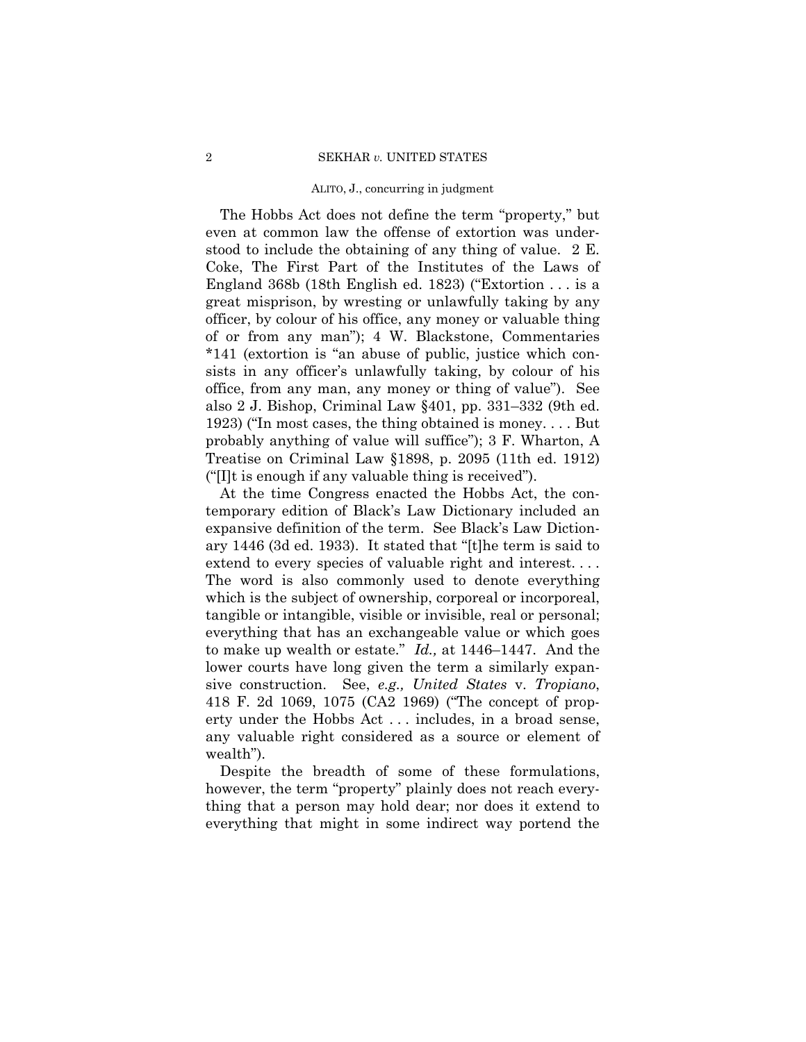The Hobbs Act does not define the term "property," but even at common law the offense of extortion was understood to include the obtaining of any thing of value. 2 E. Coke, The First Part of the Institutes of the Laws of England 368b (18th English ed. 1823) ("Extortion . . . is a great misprison, by wresting or unlawfully taking by any officer, by colour of his office, any money or valuable thing of or from any man"); 4 W. Blackstone, Commentaries \*141 (extortion is "an abuse of public, justice which consists in any officer's unlawfully taking, by colour of his office, from any man, any money or thing of value"). See also 2 J. Bishop, Criminal Law §401, pp. 331–332 (9th ed. 1923) ("In most cases, the thing obtained is money. . . . But probably anything of value will suffice"); 3 F. Wharton, A Treatise on Criminal Law §1898, p. 2095 (11th ed. 1912) ("[I]t is enough if any valuable thing is received").

At the time Congress enacted the Hobbs Act, the contemporary edition of Black's Law Dictionary included an expansive definition of the term. See Black's Law Dictionary 1446 (3d ed. 1933). It stated that "[t]he term is said to extend to every species of valuable right and interest. . . . The word is also commonly used to denote everything which is the subject of ownership, corporeal or incorporeal, tangible or intangible, visible or invisible, real or personal; everything that has an exchangeable value or which goes to make up wealth or estate." *Id.,* at 1446–1447. And the lower courts have long given the term a similarly expansive construction. See, *e.g., United States* v. *Tropiano*, 418 F. 2d 1069, 1075 (CA2 1969) ("The concept of property under the Hobbs Act . . . includes, in a broad sense, any valuable right considered as a source or element of wealth").

Despite the breadth of some of these formulations, however, the term "property" plainly does not reach everything that a person may hold dear; nor does it extend to everything that might in some indirect way portend the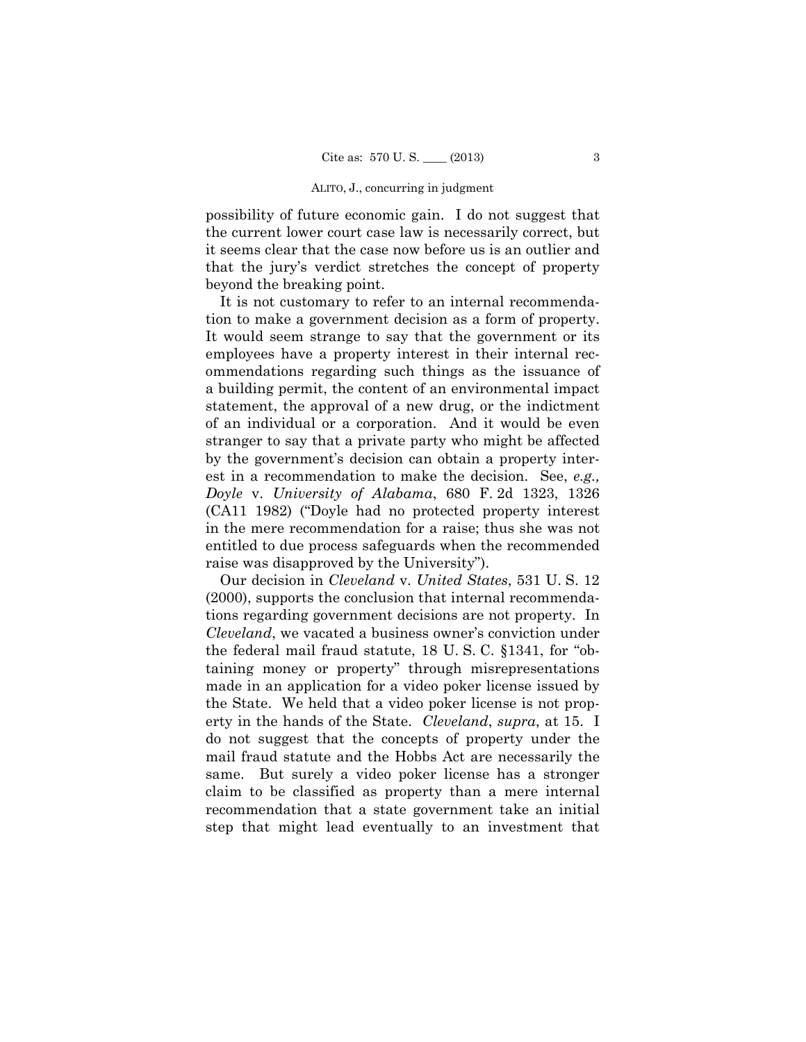possibility of future economic gain. I do not suggest that the current lower court case law is necessarily correct, but it seems clear that the case now before us is an outlier and that the jury's verdict stretches the concept of property beyond the breaking point.

It is not customary to refer to an internal recommendation to make a government decision as a form of property. It would seem strange to say that the government or its employees have a property interest in their internal recommendations regarding such things as the issuance of a building permit, the content of an environmental impact statement, the approval of a new drug, or the indictment of an individual or a corporation. And it would be even stranger to say that a private party who might be affected by the government's decision can obtain a property interest in a recommendation to make the decision. See, *e.g., Doyle* v. *University of Alabama*, 680 F. 2d 1323, 1326 (CA11 1982) ("Doyle had no protected property interest in the mere recommendation for a raise; thus she was not entitled to due process safeguards when the recommended raise was disapproved by the University").

Our decision in *Cleveland* v. *United States*, 531 U. S. 12 (2000), supports the conclusion that internal recommendations regarding government decisions are not property. In *Cleveland*, we vacated a business owner's conviction under the federal mail fraud statute, 18 U. S. C. §1341, for "obtaining money or property" through misrepresentations made in an application for a video poker license issued by the State. We held that a video poker license is not property in the hands of the State. *Cleveland*, *supra*, at 15. I do not suggest that the concepts of property under the mail fraud statute and the Hobbs Act are necessarily the same. But surely a video poker license has a stronger claim to be classified as property than a mere internal recommendation that a state government take an initial step that might lead eventually to an investment that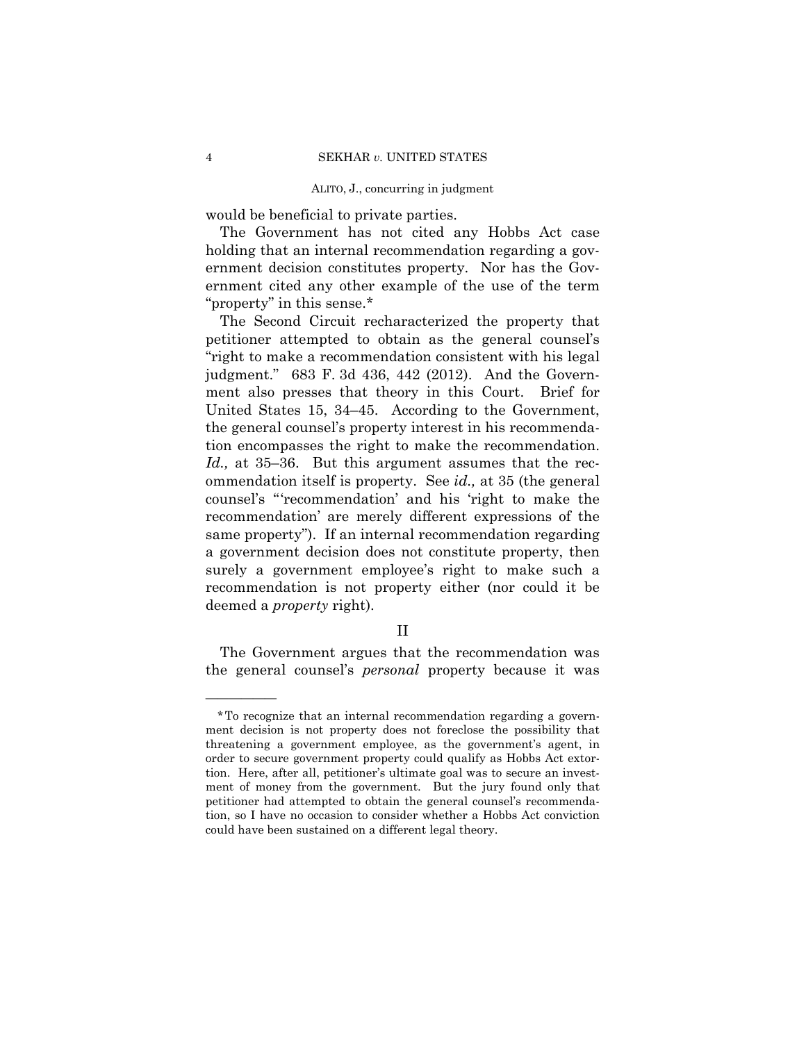would be beneficial to private parties.

The Government has not cited any Hobbs Act case holding that an internal recommendation regarding a government decision constitutes property. Nor has the Government cited any other example of the use of the term "property" in this sense.\*

The Second Circuit recharacterized the property that petitioner attempted to obtain as the general counsel's "right to make a recommendation consistent with his legal judgment." 683 F. 3d 436, 442 (2012). And the Government also presses that theory in this Court. Brief for United States 15, 34–45. According to the Government, the general counsel's property interest in his recommendation encompasses the right to make the recommendation. *Id.,* at 35–36. But this argument assumes that the recommendation itself is property. See *id.,* at 35 (the general counsel's "'recommendation' and his 'right to make the recommendation' are merely different expressions of the same property"). If an internal recommendation regarding a government decision does not constitute property, then surely a government employee's right to make such a recommendation is not property either (nor could it be deemed a *property* right).

# II

The Government argues that the recommendation was the general counsel's *personal* property because it was

<sup>\*</sup>To recognize that an internal recommendation regarding a government decision is not property does not foreclose the possibility that threatening a government employee, as the government's agent, in order to secure government property could qualify as Hobbs Act extortion. Here, after all, petitioner's ultimate goal was to secure an investment of money from the government. But the jury found only that petitioner had attempted to obtain the general counsel's recommendation, so I have no occasion to consider whether a Hobbs Act conviction could have been sustained on a different legal theory.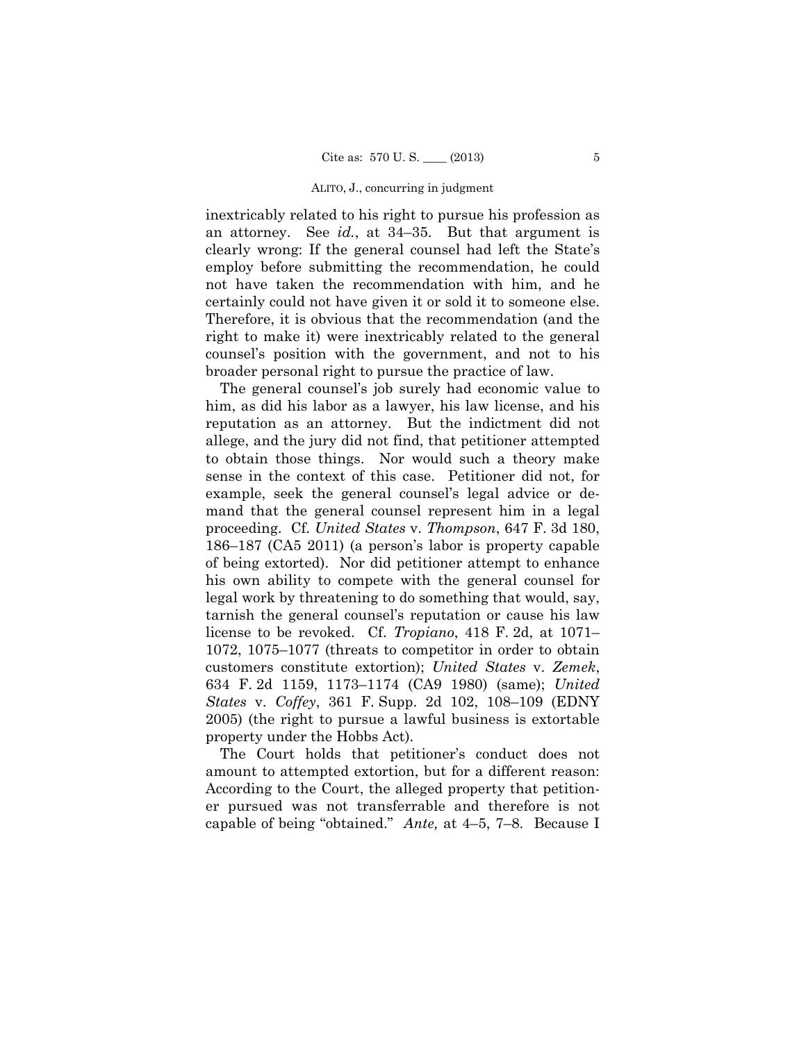inextricably related to his right to pursue his profession as an attorney. See *id.*, at 34–35. But that argument is clearly wrong: If the general counsel had left the State's employ before submitting the recommendation, he could not have taken the recommendation with him, and he certainly could not have given it or sold it to someone else. Therefore, it is obvious that the recommendation (and the right to make it) were inextricably related to the general counsel's position with the government, and not to his broader personal right to pursue the practice of law.

The general counsel's job surely had economic value to him, as did his labor as a lawyer, his law license, and his reputation as an attorney. But the indictment did not allege, and the jury did not find, that petitioner attempted to obtain those things. Nor would such a theory make sense in the context of this case. Petitioner did not, for example, seek the general counsel's legal advice or demand that the general counsel represent him in a legal proceeding. Cf. *United States* v. *Thompson*, 647 F. 3d 180, 186–187 (CA5 2011) (a person's labor is property capable of being extorted). Nor did petitioner attempt to enhance his own ability to compete with the general counsel for legal work by threatening to do something that would, say, tarnish the general counsel's reputation or cause his law license to be revoked. Cf. *Tropiano*, 418 F. 2d, at 1071– 1072, 1075–1077 (threats to competitor in order to obtain customers constitute extortion); *United States* v. *Zemek*, 634 F. 2d 1159, 1173–1174 (CA9 1980) (same); *United States* v. *Coffey*, 361 F. Supp. 2d 102, 108–109 (EDNY 2005) (the right to pursue a lawful business is extortable property under the Hobbs Act).

 amount to attempted extortion, but for a different reason: The Court holds that petitioner's conduct does not According to the Court, the alleged property that petitioner pursued was not transferrable and therefore is not capable of being "obtained." *Ante,* at 4–5, 7–8. Because I